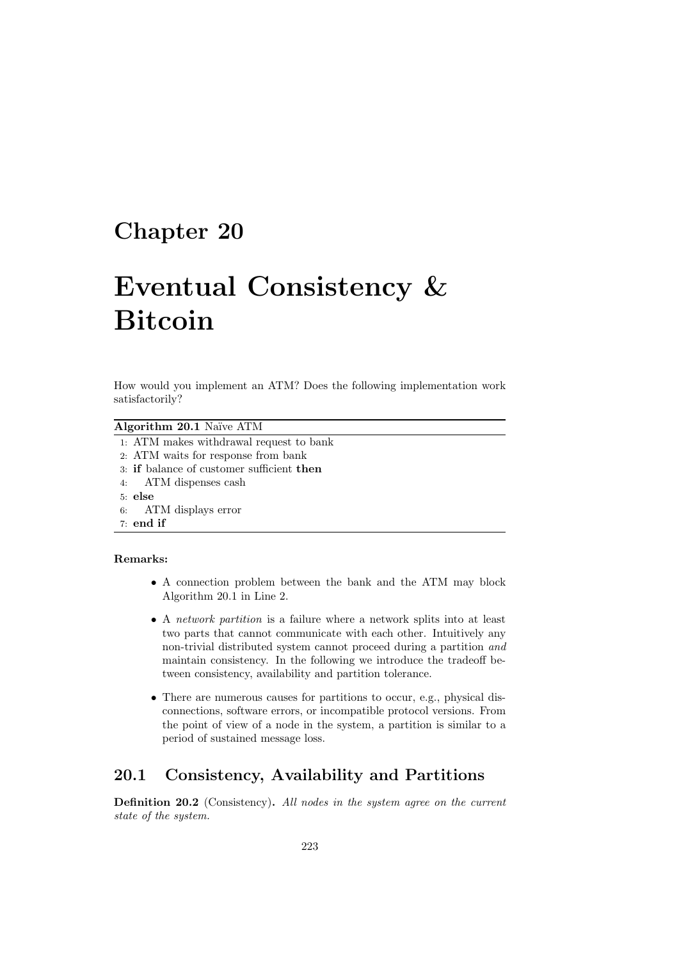# Chapter 20

# Eventual Consistency & Bitcoin

How would you implement an ATM? Does the following implementation work satisfactorily?

| Algorithm 20.1 Naïve ATM                  |  |  |  |  |  |
|-------------------------------------------|--|--|--|--|--|
| 1: ATM makes withdrawal request to bank   |  |  |  |  |  |
| 2: ATM waits for response from bank       |  |  |  |  |  |
| 3: if balance of customer sufficient then |  |  |  |  |  |
| 4: ATM dispenses cash                     |  |  |  |  |  |
| $5:$ else                                 |  |  |  |  |  |
| 6: ATM displays error                     |  |  |  |  |  |
| $7:$ end if                               |  |  |  |  |  |

#### Remarks:

- A connection problem between the bank and the ATM may block Algorithm 20.1 in Line 2.
- A network partition is a failure where a network splits into at least two parts that cannot communicate with each other. Intuitively any non-trivial distributed system cannot proceed during a partition and maintain consistency. In the following we introduce the tradeoff between consistency, availability and partition tolerance.
- There are numerous causes for partitions to occur, e.g., physical disconnections, software errors, or incompatible protocol versions. From the point of view of a node in the system, a partition is similar to a period of sustained message loss.

# 20.1 Consistency, Availability and Partitions

Definition 20.2 (Consistency). All nodes in the system agree on the current state of the system.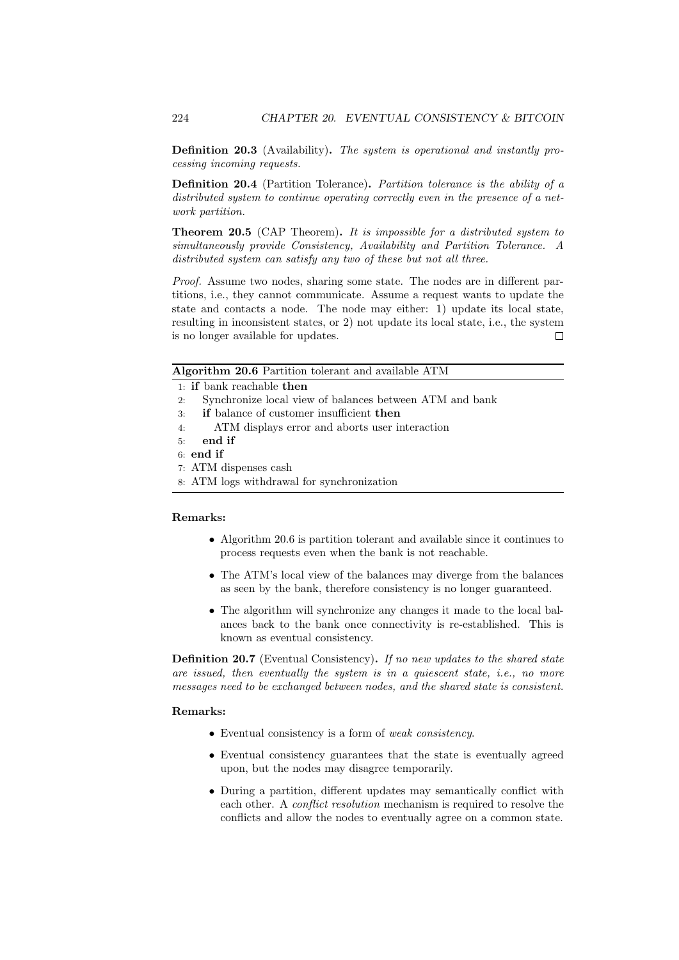Definition 20.3 (Availability). The system is operational and instantly processing incoming requests.

Definition 20.4 (Partition Tolerance). Partition tolerance is the ability of a distributed system to continue operating correctly even in the presence of a network partition.

**Theorem 20.5** (CAP Theorem). It is impossible for a distributed system to simultaneously provide Consistency, Availability and Partition Tolerance. A distributed system can satisfy any two of these but not all three.

Proof. Assume two nodes, sharing some state. The nodes are in different partitions, i.e., they cannot communicate. Assume a request wants to update the state and contacts a node. The node may either: 1) update its local state, resulting in inconsistent states, or 2) not update its local state, i.e., the system is no longer available for updates.  $\Box$ 

| Algorithm 20.6 Partition tolerant and available ATM |  |
|-----------------------------------------------------|--|
|-----------------------------------------------------|--|

1: if bank reachable then

- 2: Synchronize local view of balances between ATM and bank
- 3: if balance of customer insufficient then
- 4: ATM displays error and aborts user interaction
- 5: end if
- 6: end if
- 7: ATM dispenses cash
- 8: ATM logs withdrawal for synchronization

#### Remarks:

- Algorithm 20.6 is partition tolerant and available since it continues to process requests even when the bank is not reachable.
- The ATM's local view of the balances may diverge from the balances as seen by the bank, therefore consistency is no longer guaranteed.
- The algorithm will synchronize any changes it made to the local balances back to the bank once connectivity is re-established. This is known as eventual consistency.

Definition 20.7 (Eventual Consistency). If no new updates to the shared state are issued, then eventually the system is in a quiescent state, i.e., no more messages need to be exchanged between nodes, and the shared state is consistent.

- Eventual consistency is a form of weak consistency.
- Eventual consistency guarantees that the state is eventually agreed upon, but the nodes may disagree temporarily.
- During a partition, different updates may semantically conflict with each other. A conflict resolution mechanism is required to resolve the conflicts and allow the nodes to eventually agree on a common state.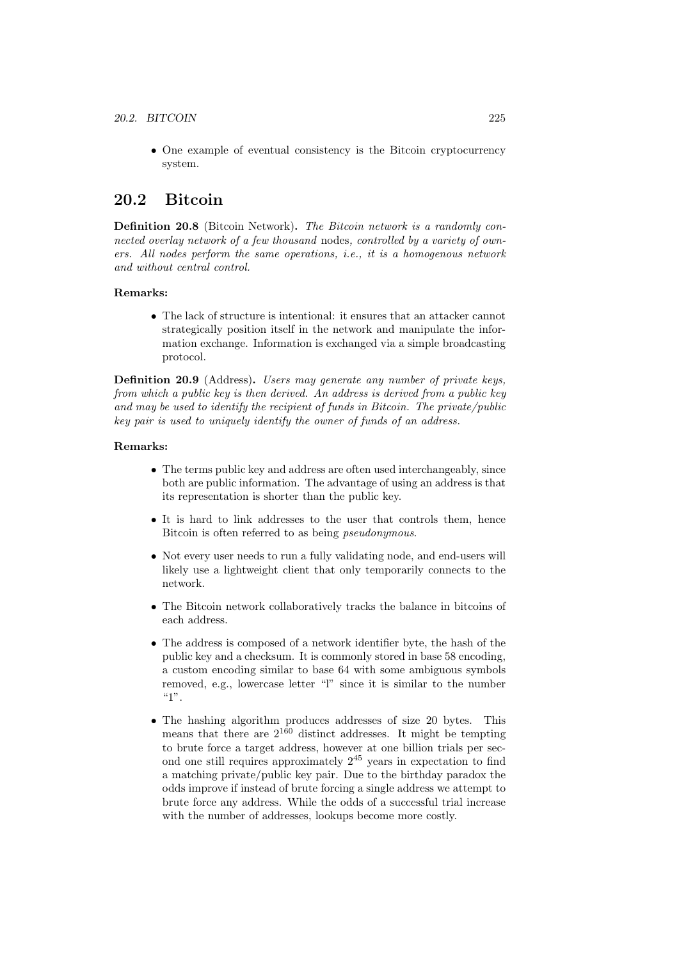• One example of eventual consistency is the Bitcoin cryptocurrency system.

## 20.2 Bitcoin

Definition 20.8 (Bitcoin Network). The Bitcoin network is a randomly connected overlay network of a few thousand nodes, controlled by a variety of owners. All nodes perform the same operations, i.e., it is a homogenous network and without central control.

#### Remarks:

• The lack of structure is intentional: it ensures that an attacker cannot strategically position itself in the network and manipulate the information exchange. Information is exchanged via a simple broadcasting protocol.

Definition 20.9 (Address). Users may generate any number of private keys, from which a public key is then derived. An address is derived from a public key and may be used to identify the recipient of funds in Bitcoin. The private/public key pair is used to uniquely identify the owner of funds of an address.

- The terms public key and address are often used interchangeably, since both are public information. The advantage of using an address is that its representation is shorter than the public key.
- It is hard to link addresses to the user that controls them, hence Bitcoin is often referred to as being pseudonymous.
- Not every user needs to run a fully validating node, and end-users will likely use a lightweight client that only temporarily connects to the network.
- The Bitcoin network collaboratively tracks the balance in bitcoins of each address.
- The address is composed of a network identifier byte, the hash of the public key and a checksum. It is commonly stored in base 58 encoding, a custom encoding similar to base 64 with some ambiguous symbols removed, e.g., lowercase letter "l" since it is similar to the number  $"1"$ .
- The hashing algorithm produces addresses of size 20 bytes. This means that there are  $2^{160}$  distinct addresses. It might be tempting to brute force a target address, however at one billion trials per second one still requires approximately  $2^{45}$  years in expectation to find a matching private/public key pair. Due to the birthday paradox the odds improve if instead of brute forcing a single address we attempt to brute force any address. While the odds of a successful trial increase with the number of addresses, lookups become more costly.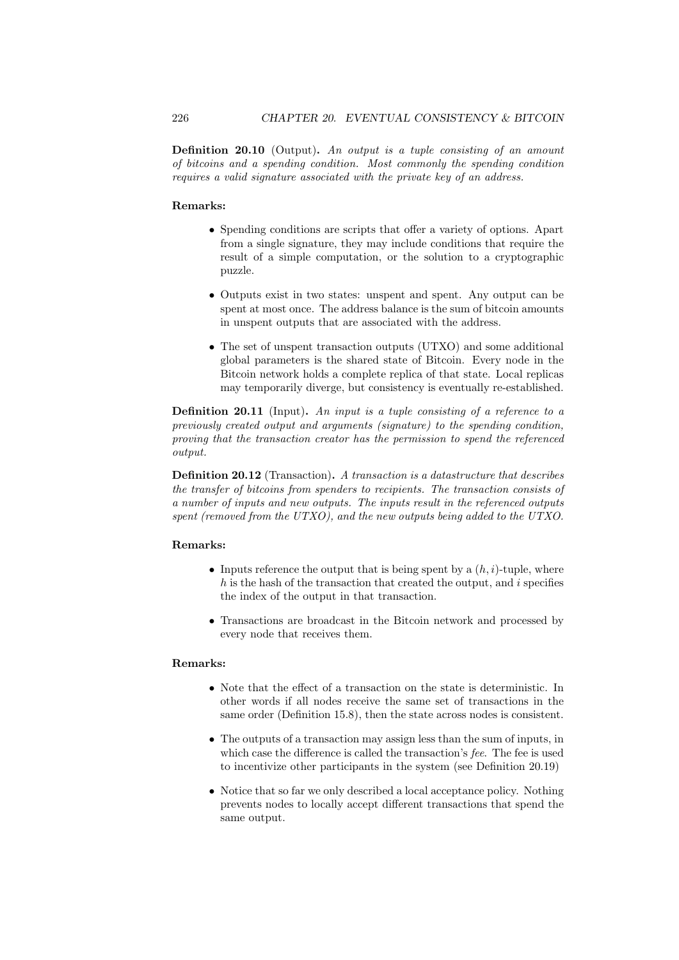Definition 20.10 (Output). An output is a tuple consisting of an amount of bitcoins and a spending condition. Most commonly the spending condition requires a valid signature associated with the private key of an address.

#### Remarks:

- Spending conditions are scripts that offer a variety of options. Apart from a single signature, they may include conditions that require the result of a simple computation, or the solution to a cryptographic puzzle.
- Outputs exist in two states: unspent and spent. Any output can be spent at most once. The address balance is the sum of bitcoin amounts in unspent outputs that are associated with the address.
- The set of unspent transaction outputs (UTXO) and some additional global parameters is the shared state of Bitcoin. Every node in the Bitcoin network holds a complete replica of that state. Local replicas may temporarily diverge, but consistency is eventually re-established.

Definition 20.11 (Input). An input is a tuple consisting of a reference to a previously created output and arguments (signature) to the spending condition, proving that the transaction creator has the permission to spend the referenced output.

Definition 20.12 (Transaction). A transaction is a datastructure that describes the transfer of bitcoins from spenders to recipients. The transaction consists of a number of inputs and new outputs. The inputs result in the referenced outputs spent (removed from the UTXO), and the new outputs being added to the UTXO.

#### Remarks:

- Inputs reference the output that is being spent by a  $(h, i)$ -tuple, where  $h$  is the hash of the transaction that created the output, and  $i$  specifies the index of the output in that transaction.
- Transactions are broadcast in the Bitcoin network and processed by every node that receives them.

- Note that the effect of a transaction on the state is deterministic. In other words if all nodes receive the same set of transactions in the same order (Definition 15.8), then the state across nodes is consistent.
- The outputs of a transaction may assign less than the sum of inputs, in which case the difference is called the transaction's fee. The fee is used to incentivize other participants in the system (see Definition 20.19)
- Notice that so far we only described a local acceptance policy. Nothing prevents nodes to locally accept different transactions that spend the same output.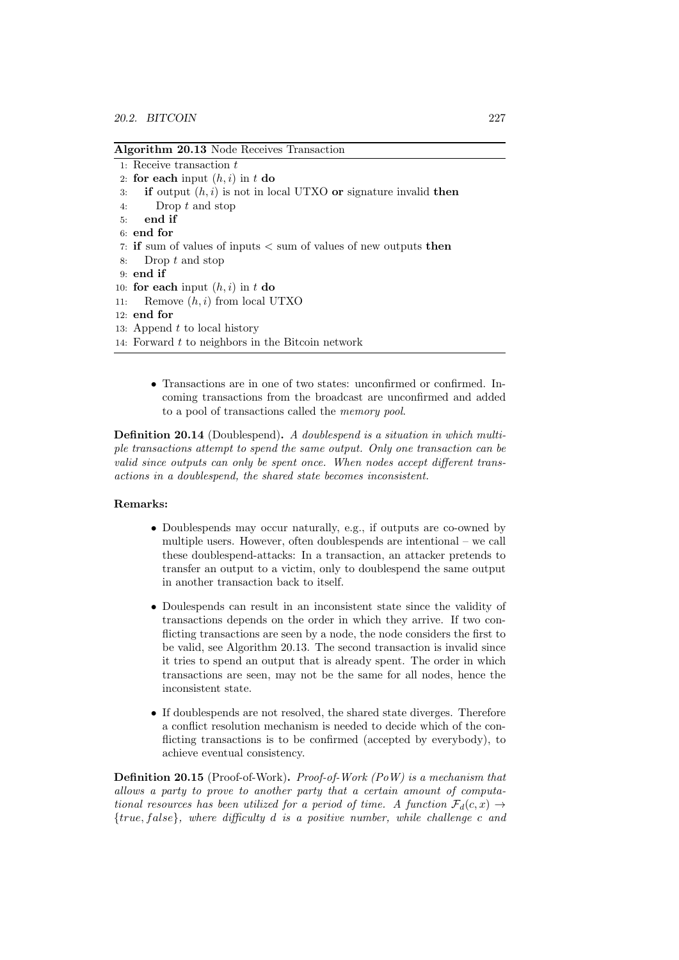Algorithm 20.13 Node Receives Transaction

|    | 1. Receive transaction $t$                                                |
|----|---------------------------------------------------------------------------|
|    | 2. for each input $(h, i)$ in t do                                        |
| 3: | if output $(h, i)$ is not in local UTXO or signature invalid then         |
| 4: | Drop $t$ and stop                                                         |
| 5: | end if                                                                    |
|    | $6:$ end for                                                              |
|    | 7: if sum of values of inputs $\langle$ sum of values of new outputs then |
|    | 8: Drop $t$ and stop                                                      |
|    | $9:$ end if                                                               |
|    | 10: for each input $(h, i)$ in t do                                       |
|    | 11: Remove $(h, i)$ from local UTXO                                       |
|    | $12:$ end for                                                             |
|    | 13. Append $t$ to local history                                           |
|    | 14. Forward t to neighbors in the Bitcoin network                         |
|    |                                                                           |

• Transactions are in one of two states: unconfirmed or confirmed. Incoming transactions from the broadcast are unconfirmed and added to a pool of transactions called the memory pool.

Definition 20.14 (Doublespend). A doublespend is a situation in which multiple transactions attempt to spend the same output. Only one transaction can be valid since outputs can only be spent once. When nodes accept different transactions in a doublespend, the shared state becomes inconsistent.

#### Remarks:

- Doublespends may occur naturally, e.g., if outputs are co-owned by multiple users. However, often doublespends are intentional – we call these doublespend-attacks: In a transaction, an attacker pretends to transfer an output to a victim, only to doublespend the same output in another transaction back to itself.
- Doulespends can result in an inconsistent state since the validity of transactions depends on the order in which they arrive. If two conflicting transactions are seen by a node, the node considers the first to be valid, see Algorithm 20.13. The second transaction is invalid since it tries to spend an output that is already spent. The order in which transactions are seen, may not be the same for all nodes, hence the inconsistent state.
- If doublespends are not resolved, the shared state diverges. Therefore a conflict resolution mechanism is needed to decide which of the conflicting transactions is to be confirmed (accepted by everybody), to achieve eventual consistency.

**Definition 20.15** (Proof-of-Work). Proof-of-Work (PoW) is a mechanism that allows a party to prove to another party that a certain amount of computational resources has been utilized for a period of time. A function  $\mathcal{F}_d(c, x) \rightarrow$  ${true, false}$ , where difficulty d is a positive number, while challenge c and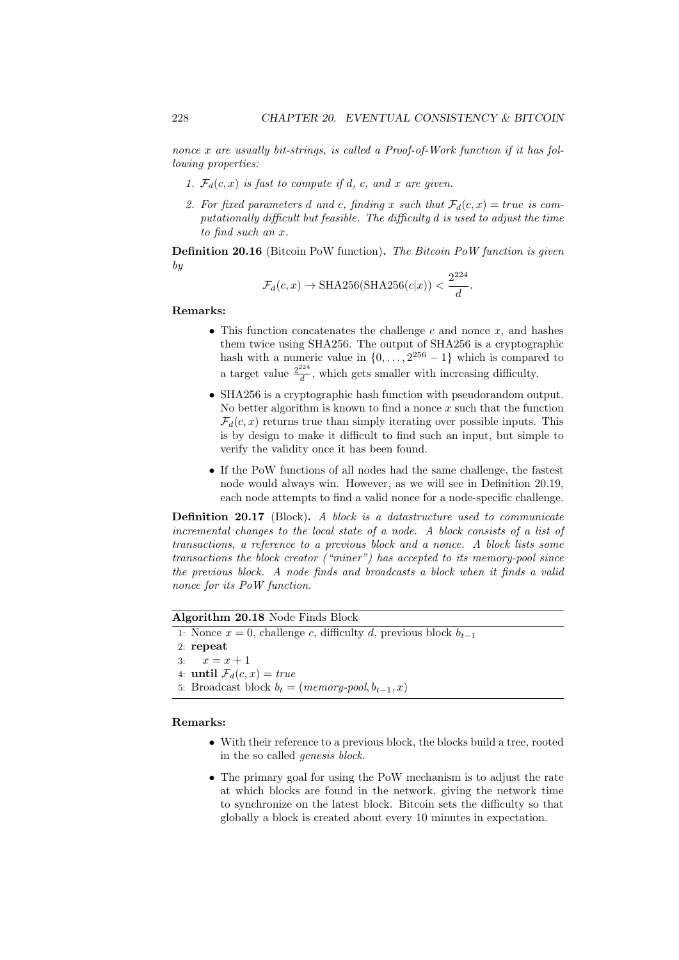nonce x are usually bit-strings, is called a Proof-of-Work function if it has following properties:

- 1.  $\mathcal{F}_d(c,x)$  is fast to compute if d, c, and x are given.
- 2. For fixed parameters d and c, finding x such that  $\mathcal{F}_d(c, x) = true$  is computationally difficult but feasible. The difficulty d is used to adjust the time to find such an x.

**Definition 20.16** (Bitcoin PoW function). The Bitcoin PoW function is given by  $224$ 

$$
\mathcal{F}_d(c,x) \to \text{SHA256}(\text{SHA256}(c|x)) < \frac{2^{224}}{d}.
$$

Remarks:

- This function concatenates the challenge  $c$  and nonce  $x$ , and hashes them twice using SHA256. The output of SHA256 is a cryptographic hash with a numeric value in  $\{0, \ldots, 2^{256} - 1\}$  which is compared to a target value  $\frac{2^{224}}{d}$  $\frac{d}{d}$ , which gets smaller with increasing difficulty.
- SHA256 is a cryptographic hash function with pseudorandom output. No better algorithm is known to find a nonce  $x$  such that the function  $\mathcal{F}_d(c,x)$  returns true than simply iterating over possible inputs. This is by design to make it difficult to find such an input, but simple to verify the validity once it has been found.
- If the PoW functions of all nodes had the same challenge, the fastest node would always win. However, as we will see in Definition 20.19, each node attempts to find a valid nonce for a node-specific challenge.

Definition 20.17 (Block). A block is a datastructure used to communicate incremental changes to the local state of a node. A block consists of a list of transactions, a reference to a previous block and a nonce. A block lists some transactions the block creator ("miner") has accepted to its memory-pool since the previous block. A node finds and broadcasts a block when it finds a valid nonce for its PoW function.

#### Algorithm 20.18 Node Finds Block

```
1: Nonce x = 0, challenge c, difficulty d, previous block b_{t-1}
```

```
2: repeat
```

```
3: x = x + 1
```

```
4: until \mathcal{F}_d(c,x) = true
```

```
5: Broadcast block b_t = (memory-pool, b_{t-1}, x)
```
- With their reference to a previous block, the blocks build a tree, rooted in the so called genesis block.
- The primary goal for using the PoW mechanism is to adjust the rate at which blocks are found in the network, giving the network time to synchronize on the latest block. Bitcoin sets the difficulty so that globally a block is created about every 10 minutes in expectation.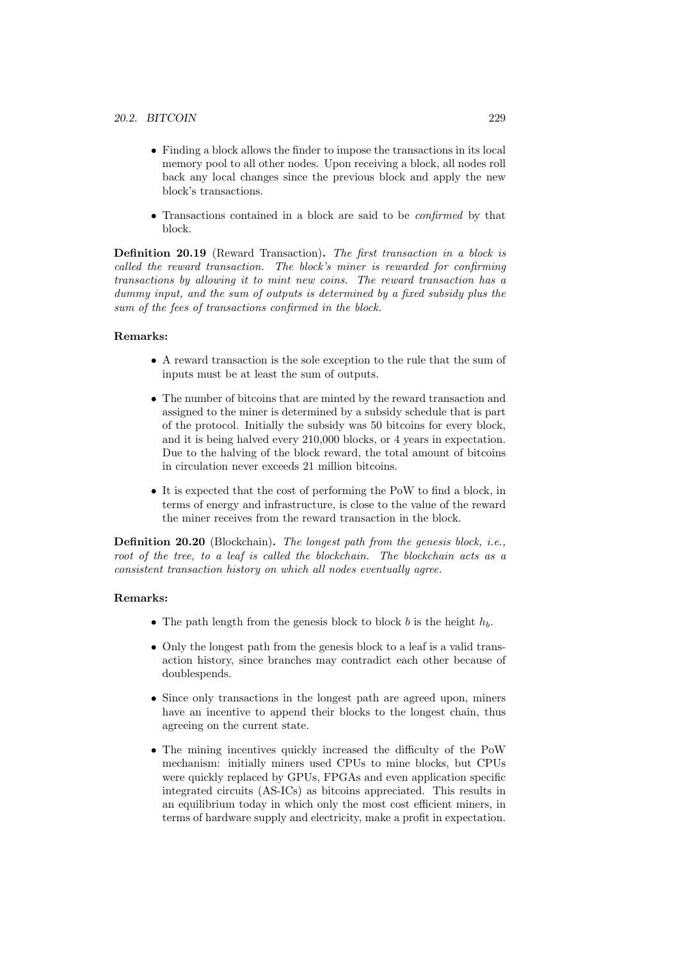- Finding a block allows the finder to impose the transactions in its local memory pool to all other nodes. Upon receiving a block, all nodes roll back any local changes since the previous block and apply the new block's transactions.
- Transactions contained in a block are said to be confirmed by that block.

Definition 20.19 (Reward Transaction). The first transaction in a block is called the reward transaction. The block's miner is rewarded for confirming transactions by allowing it to mint new coins. The reward transaction has a dummy input, and the sum of outputs is determined by a fixed subsidy plus the sum of the fees of transactions confirmed in the block.

#### Remarks:

- A reward transaction is the sole exception to the rule that the sum of inputs must be at least the sum of outputs.
- The number of bitcoins that are minted by the reward transaction and assigned to the miner is determined by a subsidy schedule that is part of the protocol. Initially the subsidy was 50 bitcoins for every block, and it is being halved every 210,000 blocks, or 4 years in expectation. Due to the halving of the block reward, the total amount of bitcoins in circulation never exceeds 21 million bitcoins.
- It is expected that the cost of performing the PoW to find a block, in terms of energy and infrastructure, is close to the value of the reward the miner receives from the reward transaction in the block.

Definition 20.20 (Blockchain). The longest path from the genesis block, i.e., root of the tree, to a leaf is called the blockchain. The blockchain acts as a consistent transaction history on which all nodes eventually agree.

- The path length from the genesis block to block b is the height  $h_b$ .
- Only the longest path from the genesis block to a leaf is a valid transaction history, since branches may contradict each other because of doublespends.
- Since only transactions in the longest path are agreed upon, miners have an incentive to append their blocks to the longest chain, thus agreeing on the current state.
- The mining incentives quickly increased the difficulty of the PoW mechanism: initially miners used CPUs to mine blocks, but CPUs were quickly replaced by GPUs, FPGAs and even application specific integrated circuits (AS-ICs) as bitcoins appreciated. This results in an equilibrium today in which only the most cost efficient miners, in terms of hardware supply and electricity, make a profit in expectation.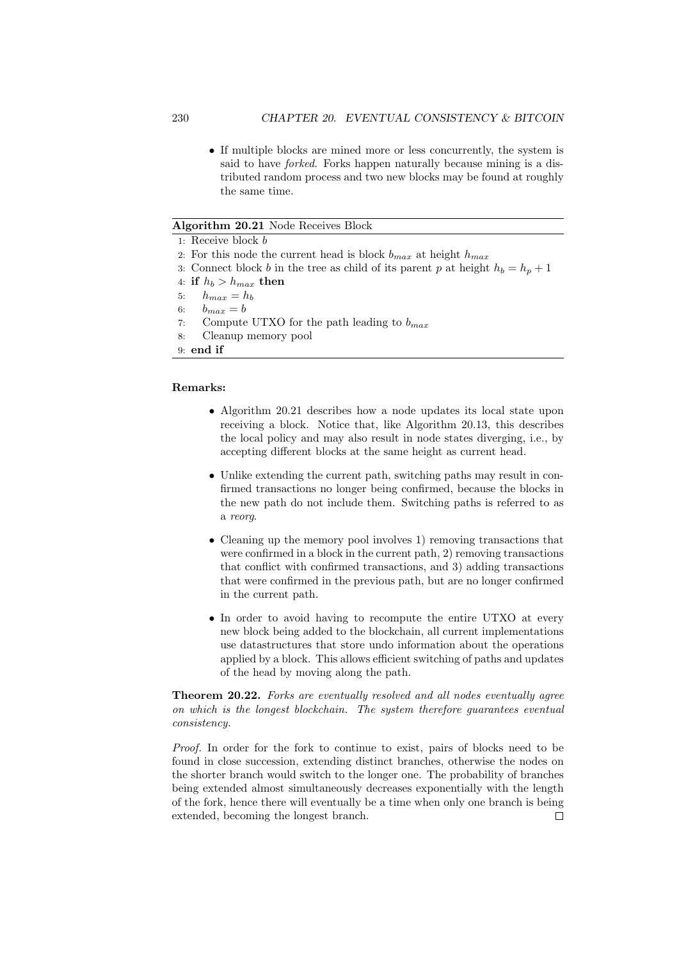• If multiple blocks are mined more or less concurrently, the system is said to have forked. Forks happen naturally because mining is a distributed random process and two new blocks may be found at roughly the same time.

#### Algorithm 20.21 Node Receives Block

- 1: Receive block b
- 2: For this node the current head is block  $b_{max}$  at height  $h_{max}$
- 3: Connect block b in the tree as child of its parent p at height  $h_b = h_p + 1$
- 4: if  $h_b > h_{max}$  then
- 5:  $h_{max} = h_b$
- 6:  $b_{max} = b$
- 7: Compute UTXO for the path leading to  $b_{max}$
- 8: Cleanup memory pool
- 9: end if

#### Remarks:

- Algorithm 20.21 describes how a node updates its local state upon receiving a block. Notice that, like Algorithm 20.13, this describes the local policy and may also result in node states diverging, i.e., by accepting different blocks at the same height as current head.
- Unlike extending the current path, switching paths may result in confirmed transactions no longer being confirmed, because the blocks in the new path do not include them. Switching paths is referred to as a reorg.
- Cleaning up the memory pool involves 1) removing transactions that were confirmed in a block in the current path, 2) removing transactions that conflict with confirmed transactions, and 3) adding transactions that were confirmed in the previous path, but are no longer confirmed in the current path.
- In order to avoid having to recompute the entire UTXO at every new block being added to the blockchain, all current implementations use datastructures that store undo information about the operations applied by a block. This allows efficient switching of paths and updates of the head by moving along the path.

#### Theorem 20.22. Forks are eventually resolved and all nodes eventually agree on which is the longest blockchain. The system therefore guarantees eventual consistency.

Proof. In order for the fork to continue to exist, pairs of blocks need to be found in close succession, extending distinct branches, otherwise the nodes on the shorter branch would switch to the longer one. The probability of branches being extended almost simultaneously decreases exponentially with the length of the fork, hence there will eventually be a time when only one branch is being extended, becoming the longest branch. $\Box$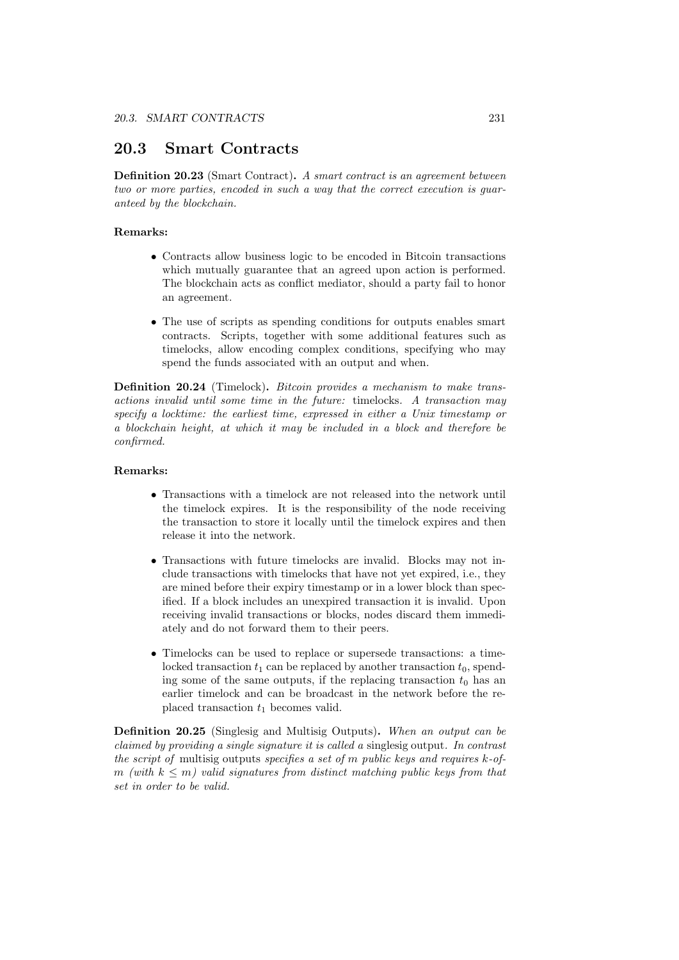# 20.3 Smart Contracts

Definition 20.23 (Smart Contract). A smart contract is an agreement between two or more parties, encoded in such a way that the correct execution is guaranteed by the blockchain.

#### Remarks:

- Contracts allow business logic to be encoded in Bitcoin transactions which mutually guarantee that an agreed upon action is performed. The blockchain acts as conflict mediator, should a party fail to honor an agreement.
- The use of scripts as spending conditions for outputs enables smart contracts. Scripts, together with some additional features such as timelocks, allow encoding complex conditions, specifying who may spend the funds associated with an output and when.

Definition 20.24 (Timelock). Bitcoin provides a mechanism to make transactions invalid until some time in the future: timelocks. A transaction may specify a locktime: the earliest time, expressed in either a Unix timestamp or a blockchain height, at which it may be included in a block and therefore be confirmed.

#### Remarks:

- Transactions with a timelock are not released into the network until the timelock expires. It is the responsibility of the node receiving the transaction to store it locally until the timelock expires and then release it into the network.
- Transactions with future timelocks are invalid. Blocks may not include transactions with timelocks that have not yet expired, i.e., they are mined before their expiry timestamp or in a lower block than specified. If a block includes an unexpired transaction it is invalid. Upon receiving invalid transactions or blocks, nodes discard them immediately and do not forward them to their peers.
- Timelocks can be used to replace or supersede transactions: a timelocked transaction  $t_1$  can be replaced by another transaction  $t_0$ , spending some of the same outputs, if the replacing transaction  $t_0$  has an earlier timelock and can be broadcast in the network before the replaced transaction  $t_1$  becomes valid.

Definition 20.25 (Singlesig and Multisig Outputs). When an output can be claimed by providing a single signature it is called a singlesig output. In contrast the script of multisig outputs specifies a set of m public keys and requires  $k$ -ofm (with  $k \leq m$ ) valid signatures from distinct matching public keys from that set in order to be valid.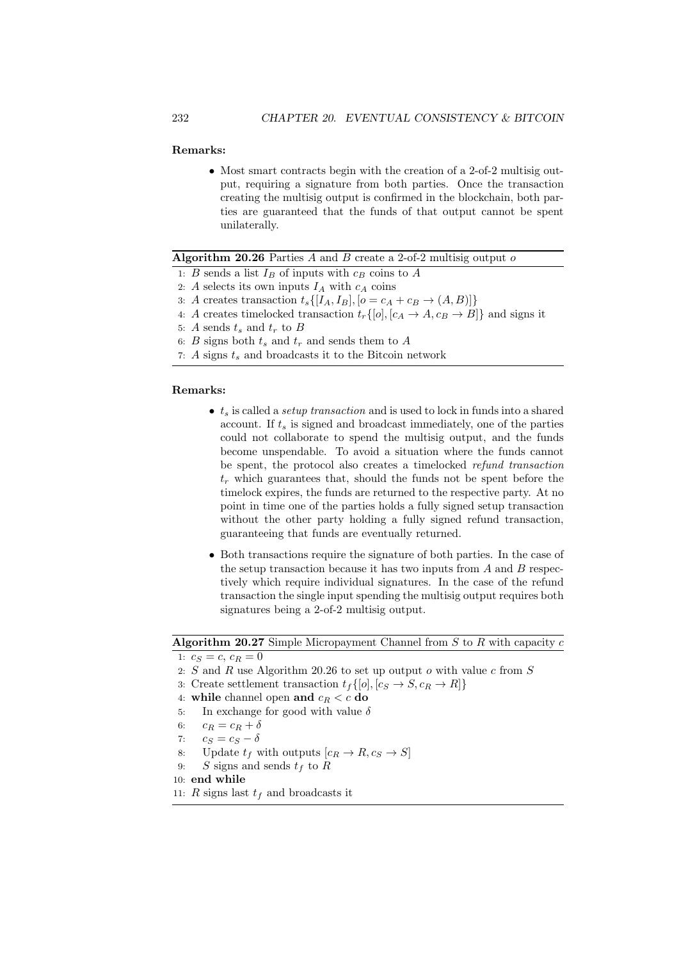#### Remarks:

• Most smart contracts begin with the creation of a 2-of-2 multisig output, requiring a signature from both parties. Once the transaction creating the multisig output is confirmed in the blockchain, both parties are guaranteed that the funds of that output cannot be spent unilaterally.

| <b>Algorithm 20.26</b> Parties $A$ and $B$ create a 2-of-2 multisig output $o$ |  |  |  |  |  |  |
|--------------------------------------------------------------------------------|--|--|--|--|--|--|
|--------------------------------------------------------------------------------|--|--|--|--|--|--|

- 1: B sends a list  $I_B$  of inputs with  $c_B$  coins to A
- 2: A selects its own inputs  $I_A$  with  $c_A$  coins
- 3: A creates transaction  $t_s[[I_A, I_B], [o = c_A + c_B \rightarrow (A, B)]$
- 4: A creates timelocked transaction  $t_r\{[o], [c_A \to A, c_B \to B]\}$  and signs it
- 5: A sends  $t_s$  and  $t_r$  to B
- 6: B signs both  $t_s$  and  $t_r$  and sends them to A
- 7: A signs  $t_s$  and broadcasts it to the Bitcoin network

#### Remarks:

- $\bullet$  t<sub>s</sub> is called a *setup transaction* and is used to lock in funds into a shared account. If  $t_s$  is signed and broadcast immediately, one of the parties could not collaborate to spend the multisig output, and the funds become unspendable. To avoid a situation where the funds cannot be spent, the protocol also creates a timelocked refund transaction  $t_r$  which guarantees that, should the funds not be spent before the timelock expires, the funds are returned to the respective party. At no point in time one of the parties holds a fully signed setup transaction without the other party holding a fully signed refund transaction, guaranteeing that funds are eventually returned.
- Both transactions require the signature of both parties. In the case of the setup transaction because it has two inputs from  $A$  and  $B$  respectively which require individual signatures. In the case of the refund transaction the single input spending the multisig output requires both signatures being a 2-of-2 multisig output.

Algorithm 20.27 Simple Micropayment Channel from  $S$  to  $R$  with capacity  $c$ 

- 1:  $c_S = c, c_R = 0$
- 2:  $S$  and  $R$  use Algorithm 20.26 to set up output  $o$  with value  $c$  from  $S$
- 3: Create settlement transaction  $t_f\{[o], [c_S \to S, c_R \to R]\}$
- 4: while channel open and  $c_R < c$  do
- 5: In exchange for good with value  $\delta$
- 6:  $c_R = c_R + \delta$
- 7:  $c_S = c_S \delta$
- 8: Update  $t_f$  with outputs  $[c_R \to R, c_S \to S]$
- 9: S signs and sends  $t_f$  to R
- 10: end while
- 11:  $R$  signs last  $t_f$  and broadcasts it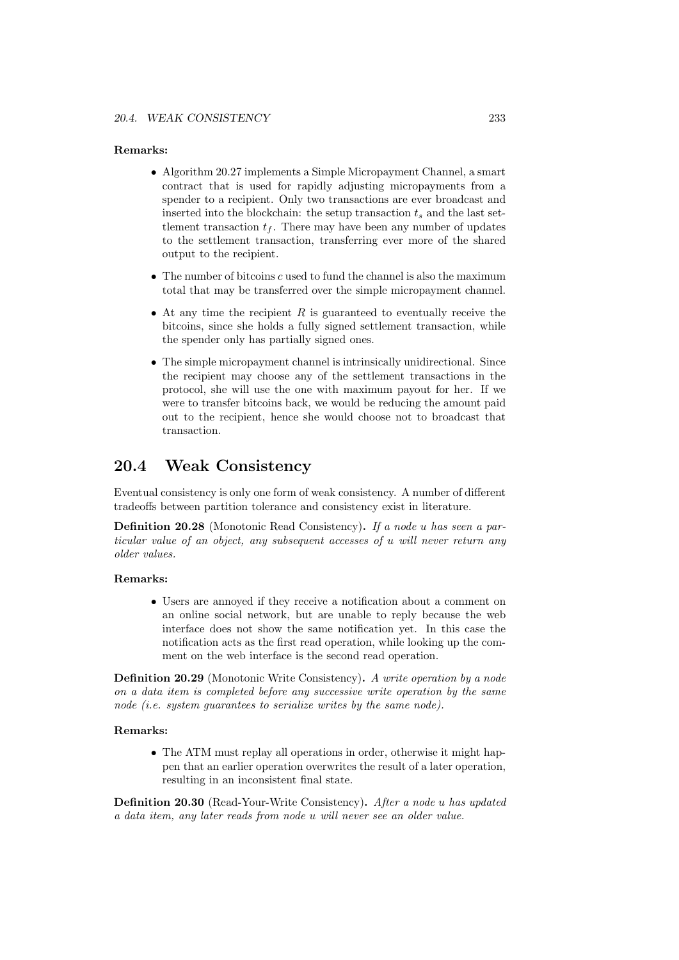#### Remarks:

- Algorithm 20.27 implements a Simple Micropayment Channel, a smart contract that is used for rapidly adjusting micropayments from a spender to a recipient. Only two transactions are ever broadcast and inserted into the blockchain: the setup transaction  $t_s$  and the last settlement transaction  $t_f$ . There may have been any number of updates to the settlement transaction, transferring ever more of the shared output to the recipient.
- $\bullet$  The number of bitcoins c used to fund the channel is also the maximum total that may be transferred over the simple micropayment channel.
- At any time the recipient  $R$  is guaranteed to eventually receive the bitcoins, since she holds a fully signed settlement transaction, while the spender only has partially signed ones.
- The simple micropayment channel is intrinsically unidirectional. Since the recipient may choose any of the settlement transactions in the protocol, she will use the one with maximum payout for her. If we were to transfer bitcoins back, we would be reducing the amount paid out to the recipient, hence she would choose not to broadcast that transaction.

## 20.4 Weak Consistency

Eventual consistency is only one form of weak consistency. A number of different tradeoffs between partition tolerance and consistency exist in literature.

Definition 20.28 (Monotonic Read Consistency). If a node u has seen a particular value of an object, any subsequent accesses of u will never return any older values.

#### Remarks:

• Users are annoyed if they receive a notification about a comment on an online social network, but are unable to reply because the web interface does not show the same notification yet. In this case the notification acts as the first read operation, while looking up the comment on the web interface is the second read operation.

Definition 20.29 (Monotonic Write Consistency). A write operation by a node on a data item is completed before any successive write operation by the same node (i.e. system guarantees to serialize writes by the same node).

#### Remarks:

• The ATM must replay all operations in order, otherwise it might happen that an earlier operation overwrites the result of a later operation, resulting in an inconsistent final state.

Definition 20.30 (Read-Your-Write Consistency). After a node u has updated a data item, any later reads from node u will never see an older value.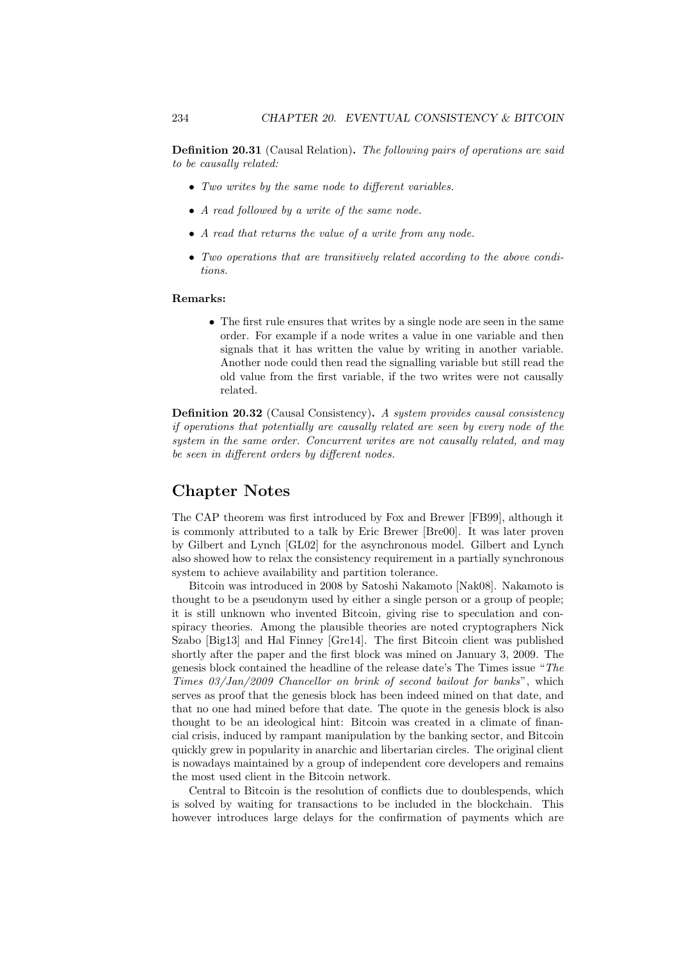Definition 20.31 (Causal Relation). The following pairs of operations are said to be causally related:

- Two writes by the same node to different variables.
- A read followed by a write of the same node.
- A read that returns the value of a write from any node.
- Two operations that are transitively related according to the above conditions.

#### Remarks:

• The first rule ensures that writes by a single node are seen in the same order. For example if a node writes a value in one variable and then signals that it has written the value by writing in another variable. Another node could then read the signalling variable but still read the old value from the first variable, if the two writes were not causally related.

Definition 20.32 (Causal Consistency). A system provides causal consistency if operations that potentially are causally related are seen by every node of the system in the same order. Concurrent writes are not causally related, and may be seen in different orders by different nodes.

### Chapter Notes

The CAP theorem was first introduced by Fox and Brewer [FB99], although it is commonly attributed to a talk by Eric Brewer [Bre00]. It was later proven by Gilbert and Lynch [GL02] for the asynchronous model. Gilbert and Lynch also showed how to relax the consistency requirement in a partially synchronous system to achieve availability and partition tolerance.

Bitcoin was introduced in 2008 by Satoshi Nakamoto [Nak08]. Nakamoto is thought to be a pseudonym used by either a single person or a group of people; it is still unknown who invented Bitcoin, giving rise to speculation and conspiracy theories. Among the plausible theories are noted cryptographers Nick Szabo [Big13] and Hal Finney [Gre14]. The first Bitcoin client was published shortly after the paper and the first block was mined on January 3, 2009. The genesis block contained the headline of the release date's The Times issue "The Times 03/Jan/2009 Chancellor on brink of second bailout for banks", which serves as proof that the genesis block has been indeed mined on that date, and that no one had mined before that date. The quote in the genesis block is also thought to be an ideological hint: Bitcoin was created in a climate of financial crisis, induced by rampant manipulation by the banking sector, and Bitcoin quickly grew in popularity in anarchic and libertarian circles. The original client is nowadays maintained by a group of independent core developers and remains the most used client in the Bitcoin network.

Central to Bitcoin is the resolution of conflicts due to doublespends, which is solved by waiting for transactions to be included in the blockchain. This however introduces large delays for the confirmation of payments which are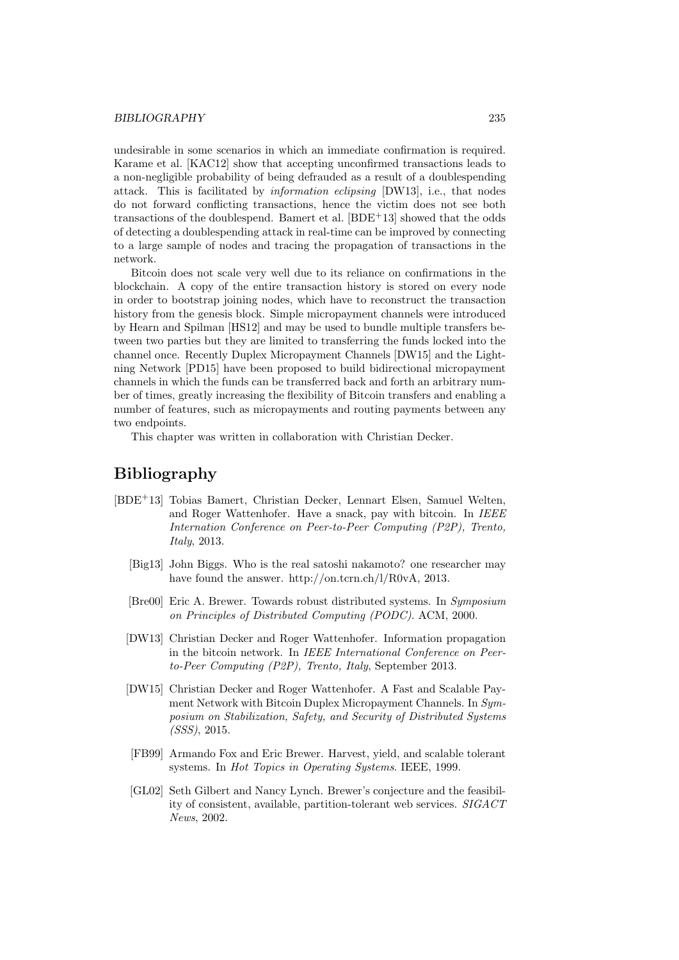undesirable in some scenarios in which an immediate confirmation is required. Karame et al. [KAC12] show that accepting unconfirmed transactions leads to a non-negligible probability of being defrauded as a result of a doublespending attack. This is facilitated by information eclipsing [DW13], i.e., that nodes do not forward conflicting transactions, hence the victim does not see both transactions of the doublespend. Bamert et al. [BDE+13] showed that the odds of detecting a doublespending attack in real-time can be improved by connecting to a large sample of nodes and tracing the propagation of transactions in the network.

Bitcoin does not scale very well due to its reliance on confirmations in the blockchain. A copy of the entire transaction history is stored on every node in order to bootstrap joining nodes, which have to reconstruct the transaction history from the genesis block. Simple micropayment channels were introduced by Hearn and Spilman [HS12] and may be used to bundle multiple transfers between two parties but they are limited to transferring the funds locked into the channel once. Recently Duplex Micropayment Channels [DW15] and the Lightning Network [PD15] have been proposed to build bidirectional micropayment channels in which the funds can be transferred back and forth an arbitrary number of times, greatly increasing the flexibility of Bitcoin transfers and enabling a number of features, such as micropayments and routing payments between any two endpoints.

This chapter was written in collaboration with Christian Decker.

# Bibliography

- [BDE+13] Tobias Bamert, Christian Decker, Lennart Elsen, Samuel Welten, and Roger Wattenhofer. Have a snack, pay with bitcoin. In IEEE Internation Conference on Peer-to-Peer Computing (P2P), Trento, Italy, 2013.
	- [Big13] John Biggs. Who is the real satoshi nakamoto? one researcher may have found the answer. http://on.tcrn.ch/l/R0vA, 2013.
	- [Bre00] Eric A. Brewer. Towards robust distributed systems. In Symposium on Principles of Distributed Computing (PODC). ACM, 2000.
	- [DW13] Christian Decker and Roger Wattenhofer. Information propagation in the bitcoin network. In IEEE International Conference on Peerto-Peer Computing (P2P), Trento, Italy, September 2013.
	- [DW15] Christian Decker and Roger Wattenhofer. A Fast and Scalable Payment Network with Bitcoin Duplex Micropayment Channels. In Symposium on Stabilization, Safety, and Security of Distributed Systems (SSS), 2015.
	- [FB99] Armando Fox and Eric Brewer. Harvest, yield, and scalable tolerant systems. In Hot Topics in Operating Systems. IEEE, 1999.
	- [GL02] Seth Gilbert and Nancy Lynch. Brewer's conjecture and the feasibility of consistent, available, partition-tolerant web services. SIGACT News, 2002.